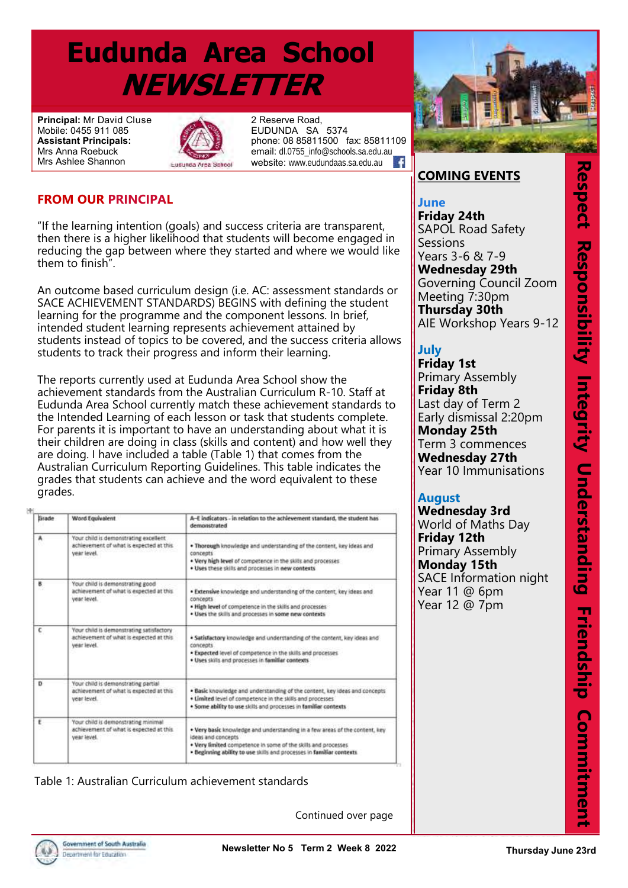# **Eudunda Area School NEWSLETTER**

**Principal:** Mr David Cluse Mobile: 0455 911 085 **Assistant Principals:**  Mrs Anna Roebuck Mrs Ashlee Shannon



2 Reserve Road, EUDUNDA SA 5374 phone: 08 85811500 fax: 85811109 email: dl.0755\_info@schools.sa.edu.au<br>website: www.eudundaas.sa.edu.au website: www.eudundaas.sa.edu.au

#### **FROM OUR PRINCIPAL**

"If the learning intention (goals) and success criteria are transparent, then there is a higher likelihood that students will become engaged in reducing the gap between where they started and where we would like them to finish".

An outcome based curriculum design (i.e. AC: assessment standards or SACE ACHIEVEMENT STANDARDS) BEGINS with defining the student learning for the programme and the component lessons. In brief, intended student learning represents achievement attained by students instead of topics to be covered, and the success criteria allows students to track their progress and inform their learning.

The reports currently used at Eudunda Area School show the achievement standards from the Australian Curriculum R-10. Staff at Eudunda Area School currently match these achievement standards to the Intended Learning of each lesson or task that students complete. For parents it is important to have an understanding about what it is their children are doing in class (skills and content) and how well they are doing. I have included a table (Table 1) that comes from the Australian Curriculum Reporting Guidelines. This table indicates the grades that students can achieve and the word equivalent to these grades.

| Grade    | Word Equivalent                                                                                    | A-E indicators - in relation to the achievement standard, the student has<br>demonstrated                                                                                                                                                    |
|----------|----------------------------------------------------------------------------------------------------|----------------------------------------------------------------------------------------------------------------------------------------------------------------------------------------------------------------------------------------------|
| А        | Your child is demonstrating excellent<br>achievement of what is expected at this.<br>vear level.   | . Thorough knowledge and understanding of the content, key ideas and<br>concepts<br>. Very high level of competence in the skills and processes<br>. Uses these skills and processes in new contexts                                         |
| в<br>- 3 | Your child is demonstrating good<br>achievement of what is expected at this.<br>year level.        | . Extensive knowledge and understanding of the content, key ideas and<br>concepts<br>. High level of competence in the skills and processes<br>. Uses the skills and processes in some new contexts                                          |
| с        | Your child is demonstrating satisfactory<br>achievement of what is expected at this<br>vear level. | . Satisfactory knowledge and understanding of the content, key ideas and<br><b>CONCROTS</b><br>. Expected level of competence in the skills and processes<br>. Uses skills and processes in familiar contexts                                |
| Ð        | Your child is demonstrating partial<br>achievement of what is expected at this<br>year level.      | . Basic knowledge and understanding of the content, key ideas and concepts<br>. Limited level of competence in the skills and processes<br>. Some ability to use skills and processes in familiar contexts                                   |
| ŧ        | Your child is demonstrating minimal<br>achievement of what is expected at this.<br>year level.     | . Very basic knowledge and understanding in a few areas of the content, key<br>ideas and concepts.<br>. Very limited competence in some of the skills and processes<br>· Beginning ability to use skills and processes in familiar contexts. |

Table 1: Australian Curriculum achievement standards

Continued over page



#### **COMING EVENTS**

**COMING EVENTS June SAPOL Road Safety Sessions**  $Years 3-6 82 7-9$ **Tuesday 20th Wednesday 29th** Soverning Coditer<br>Meeting 7:30pm **Thursday 30th AIE Workshop Years 9-12 Friday 24th** Governing Council Zoom

#### School Photos **Tury July**

**Primary Assembly** Last day of Term 2 **Early dismissal 2:20pm Monday 25th Friday 9th Wednesday 27th** Year 10 Immunisations **Monday 12th Friday 1st Friday 8th**  Term 3 commences

#### **August August**

**Wednesday 3rd** World of Maths Day<br>Eriday 12th **Friday 12th Monday 15th SACE Information night** Year 11  $@$  6pm **Year 12 @ 7pm Friday 12th**

Primary SLC Leadership Day

Secondary SLC Leadership Day

Good Friday Public Holiday

Easter Monday Public Holiday

EAS 70th Year Reunion and

**Wednesday 28th**

**Friday 30th**

**Monday 2nd**

**Sunday 22nd**

Open Day

*APRIL*

Respect Responsibility Integrity Understanding Friendship Commitment **TS**<br>
fety<br>
th Cears 9-12<br>
(ears 9-12<br>
(ears 9-12<br>
(ears 9-12<br>
(ears 9-12<br>
(ears 9-12<br>
(ears 9-12<br>
(ears 9-12<br>
(ears 9-12<br>
(ears 9-12<br>
(begines the sations<br>
bay<br>
(bay<br>
(bay<br>
pay<br>
(bay<br>
(bay<br>
pay<br> **Committive Digits Committ** 

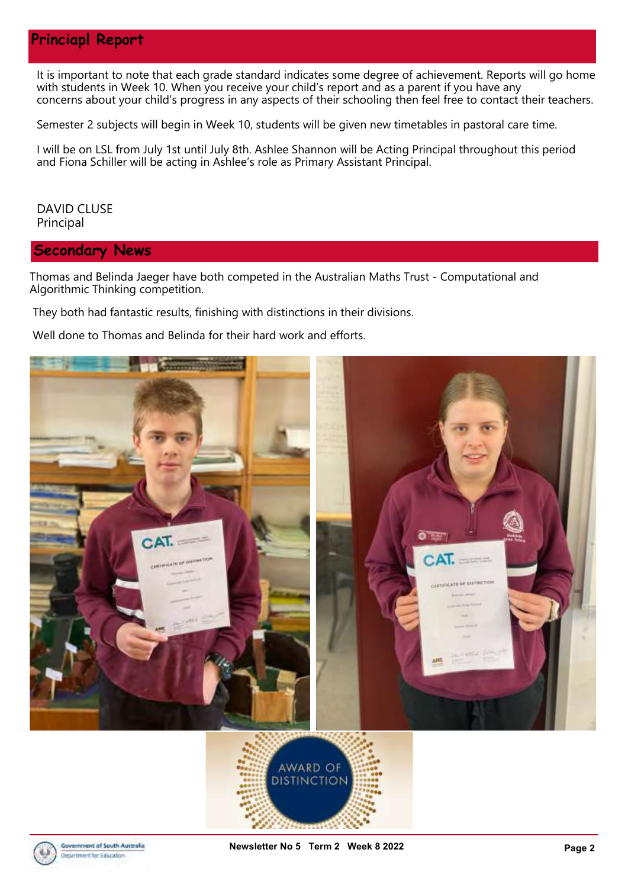#### **Princiapl Report**

It is important to note that each grade standard indicates some degree of achievement. Reports will go home with students in Week 10. When you receive your child's report and as a parent if you have any concerns about your child's progress in any aspects of their schooling then feel free to contact their teachers.

Semester 2 subjects will begin in Week 10, students will be given new timetables in pastoral care time.

I will be on LSL from July 1st until July 8th. Ashlee Shannon will be Acting Principal throughout this period and Fiona Schiller will be acting in Ashlee's role as Primary Assistant Principal.

DAVID CLUSE Principal

**Secondary News**

Thomas and Belinda Jaeger have both competed in the Australian Maths Trust - Computational and Algorithmic Thinking competition.

They both had fantastic results, finishing with distinctions in their divisions.

Well done to Thomas and Belinda for their hard work and efforts.



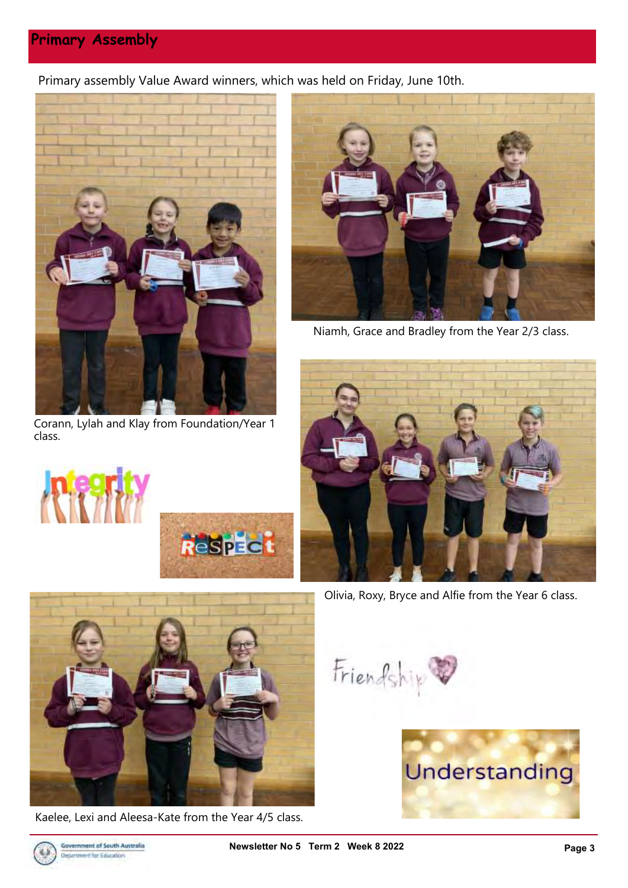### **Primary Assembly**

Primary assembly Value Award winners, which was held on Friday, June 10th.



Corann, Lylah and Klay from Foundation/Year 1 class.



Niamh, Grace and Bradley from the Year 2/3 class.



Olivia, Roxy, Bryce and Alfie from the Year 6 class.



**Respect** 

Kaelee, Lexi and Aleesa-Kate from the Year 4/5 class.

Friendship



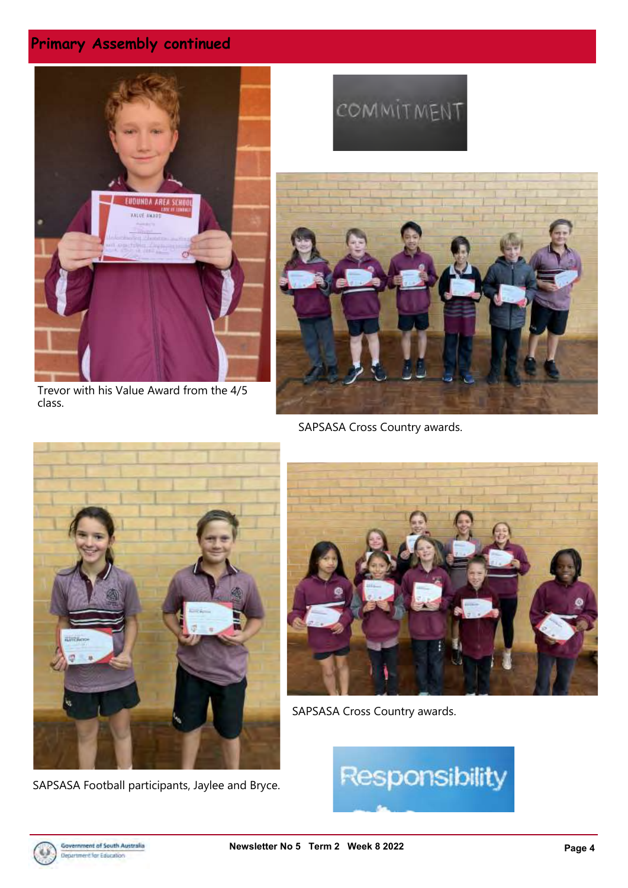# **Primary Assembly continued**



Trevor with his Value Award from the 4/5 class.

# COMMITMENT



SAPSASA Cross Country awards.



SAPSASA Football participants, Jaylee and Bryce.



SAPSASA Cross Country awards.



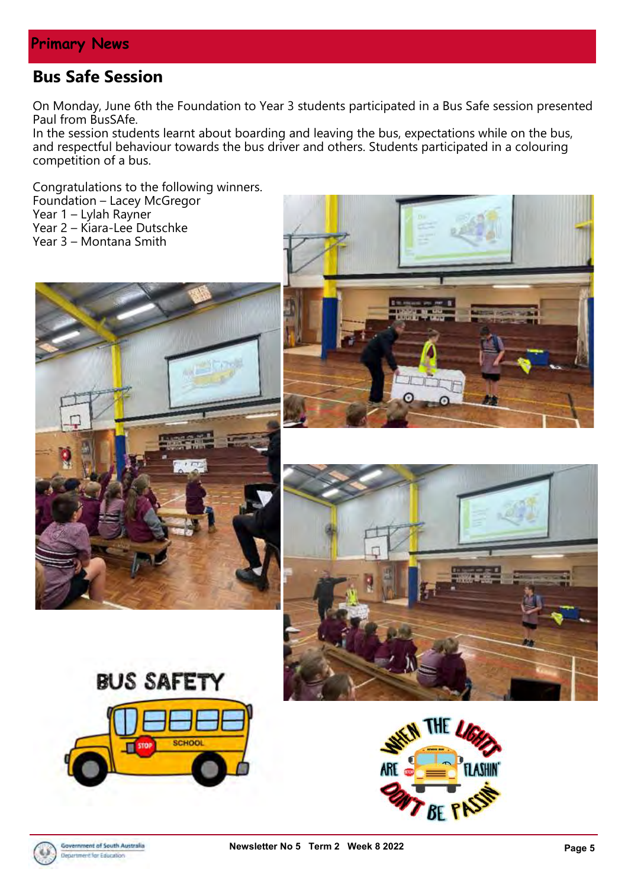# **Bus Safe Session**

On Monday, June 6th the Foundation to Year 3 students participated in a Bus Safe session presented Paul from BusSAfe.

In the session students learnt about boarding and leaving the bus, expectations while on the bus, and respectful behaviour towards the bus driver and others. Students participated in a colouring competition of a bus.

Congratulations to the following winners.

Foundation – Lacey McGregor

Year 1 – Lylah Rayner

Year 2 – Kiara-Lee Dutschke

Year 3 – Montana Smith











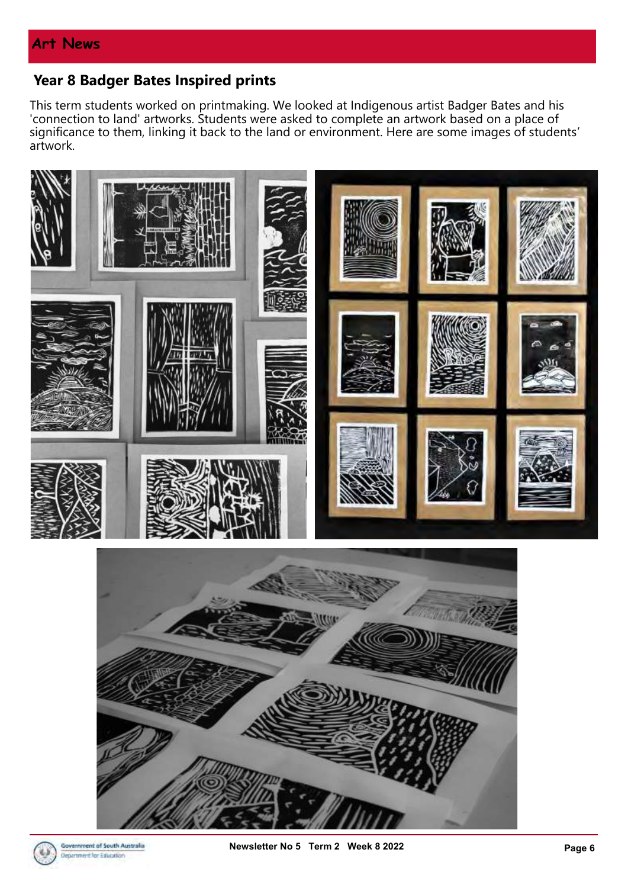## **Year 8 Badger Bates Inspired prints**

This term students worked on printmaking. We looked at Indigenous artist Badger Bates and his 'connection to land' artworks. Students were asked to complete an artwork based on a place of significance to them, linking it back to the land or environment. Here are some images of students' artwork.



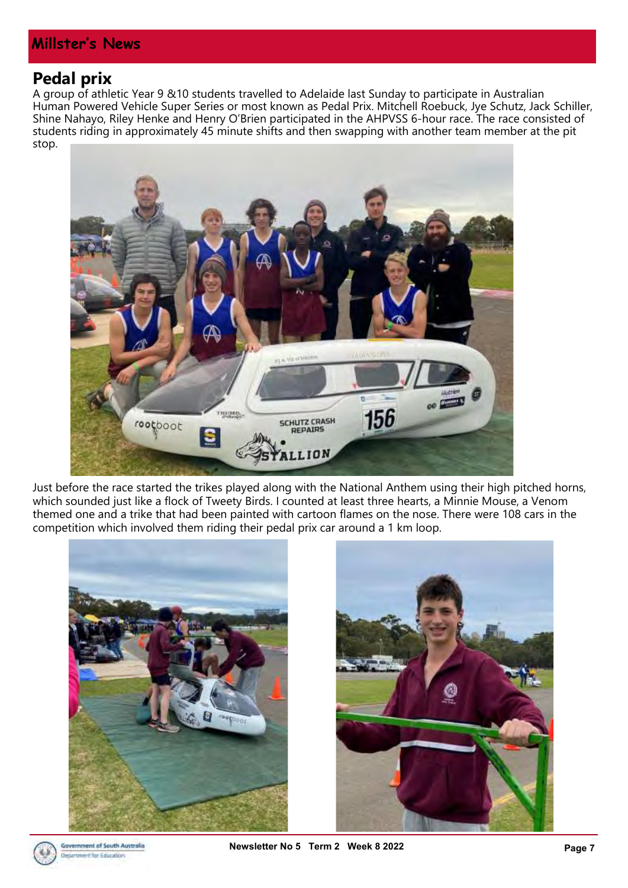#### **Millster's News**

#### **Pedal prix**

A group of athletic Year 9 &10 students travelled to Adelaide last Sunday to participate in Australian Human Powered Vehicle Super Series or most known as Pedal Prix. Mitchell Roebuck, Jye Schutz, Jack Schiller, Shine Nahayo, Riley Henke and Henry O'Brien participated in the AHPVSS 6-hour race. The race consisted of students riding in approximately 45 minute shifts and then swapping with another team member at the pit stop.



Just before the race started the trikes played along with the National Anthem using their high pitched horns, which sounded just like a flock of Tweety Birds. I counted at least three hearts, a Minnie Mouse, a Venom themed one and a trike that had been painted with cartoon flames on the nose. There were 108 cars in the competition which involved them riding their pedal prix car around a 1 km loop.





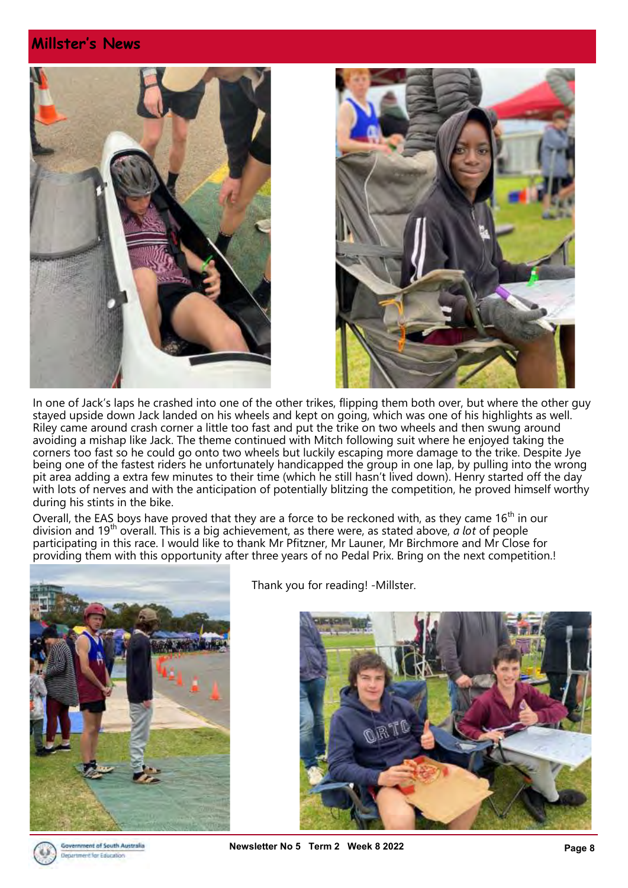#### **Millster's News**





In one of Jack's laps he crashed into one of the other trikes, flipping them both over, but where the other guy stayed upside down Jack landed on his wheels and kept on going, which was one of his highlights as well. Riley came around crash corner a little too fast and put the trike on two wheels and then swung around avoiding a mishap like Jack. The theme continued with Mitch following suit where he enjoyed taking the corners too fast so he could go onto two wheels but luckily escaping more damage to the trike. Despite Jye being one of the fastest riders he unfortunately handicapped the group in one lap, by pulling into the wrong pit area adding a extra few minutes to their time (which he still hasn't lived down). Henry started off the day with lots of nerves and with the anticipation of potentially blitzing the competition, he proved himself worthy during his stints in the bike.

Overall, the EAS boys have proved that they are a force to be reckoned with, as they came  $16<sup>th</sup>$  in our division and 19th overall. This is a big achievement, as there were, as stated above, *a lot* of people participating in this race. I would like to thank Mr Pfitzner, Mr Launer, Mr Birchmore and Mr Close for providing them with this opportunity after three years of no Pedal Prix. Bring on the next competition.!



Thank you for reading! -Millster.





ernment of South Australia artment for Education

**Newsletter No 5 Term 2 Week 8 2022 Page 8**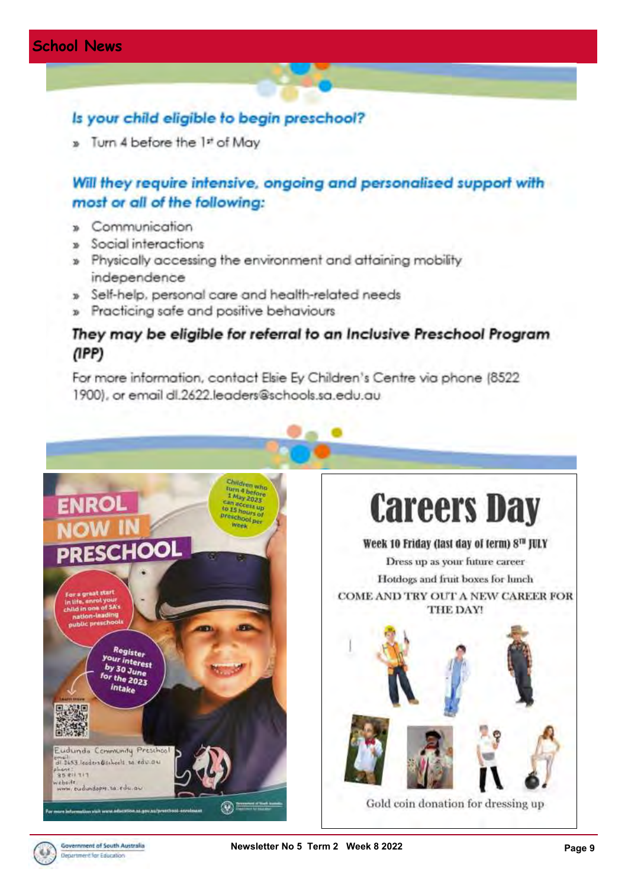#### Is your child eligible to begin preschool?

» Turn 4 before the 1st of May

# Will they require intensive, ongoing and personalised support with most or all of the following:

- » Communication
- Social interactions
- » Physically accessing the environment and attaining mobility independence
- » Self-help, personal care and health-related needs
- » Practicing safe and positive behaviours

#### They may be eligible for referral to an Inclusive Preschool Program  $(1PP)$

For more information, contact Elsie Ey Children's Centre via phone (8522) 1900), or email dl.2622.leaders@schools.sa.edu.au